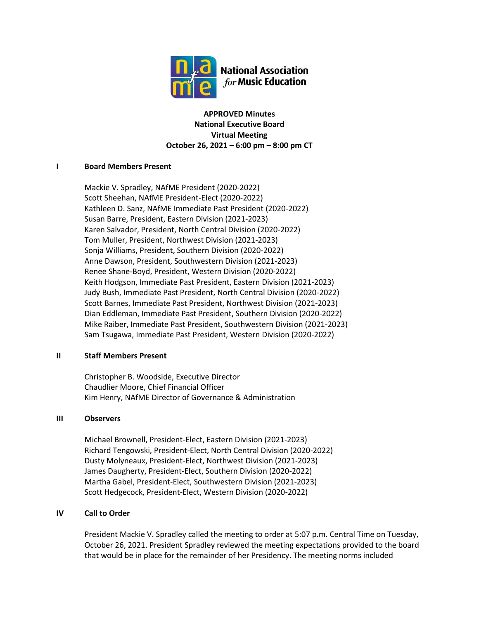

**APPROVED Minutes National Executive Board Virtual Meeting October 26, 2021 – 6:00 pm – 8:00 pm CT**

# **I Board Members Present**

Mackie V. Spradley, NAfME President (2020-2022) Scott Sheehan, NAfME President-Elect (2020-2022) Kathleen D. Sanz, NAfME Immediate Past President (2020-2022) Susan Barre, President, Eastern Division (2021-2023) Karen Salvador, President, North Central Division (2020-2022) Tom Muller, President, Northwest Division (2021-2023) Sonja Williams, President, Southern Division (2020-2022) Anne Dawson, President, Southwestern Division (2021-2023) Renee Shane-Boyd, President, Western Division (2020-2022) Keith Hodgson, Immediate Past President, Eastern Division (2021-2023) Judy Bush, Immediate Past President, North Central Division (2020-2022) Scott Barnes, Immediate Past President, Northwest Division (2021-2023) Dian Eddleman, Immediate Past President, Southern Division (2020-2022) Mike Raiber, Immediate Past President, Southwestern Division (2021-2023) Sam Tsugawa, Immediate Past President, Western Division (2020-2022)

# **II Staff Members Present**

Christopher B. Woodside, Executive Director Chaudlier Moore, Chief Financial Officer Kim Henry, NAfME Director of Governance & Administration

## **III Observers**

Michael Brownell, President-Elect, Eastern Division (2021-2023) Richard Tengowski, President-Elect, North Central Division (2020-2022) Dusty Molyneaux, President-Elect, Northwest Division (2021-2023) James Daugherty, President-Elect, Southern Division (2020-2022) Martha Gabel, President-Elect, Southwestern Division (2021-2023) Scott Hedgecock, President-Elect, Western Division (2020-2022)

## **IV Call to Order**

President Mackie V. Spradley called the meeting to order at 5:07 p.m. Central Time on Tuesday, October 26, 2021. President Spradley reviewed the meeting expectations provided to the board that would be in place for the remainder of her Presidency. The meeting norms included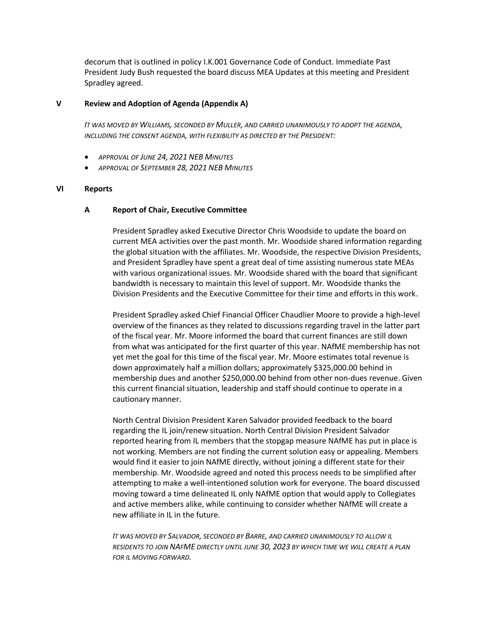decorum that is outlined in policy I.K.001 Governance Code of Conduct. Immediate Past President Judy Bush requested the board discuss MEA Updates at this meeting and President Spradley agreed.

## **V Review and Adoption of Agenda (Appendix A)**

*IT WAS MOVED BY WILLIAMS, SECONDED BY MULLER, AND CARRIED UNANIMOUSLY TO ADOPT THE AGENDA, INCLUDING THE CONSENT AGENDA, WITH FLEXIBILITY AS DIRECTED BY THE PRESIDENT:*

- *APPROVAL OF JUNE 24, 2021 NEB MINUTES*
- *APPROVAL OF SEPTEMBER 28, 2021 NEB MINUTES*

#### **VI Reports**

## **A Report of Chair, Executive Committee**

President Spradley asked Executive Director Chris Woodside to update the board on current MEA activities over the past month. Mr. Woodside shared information regarding the global situation with the affiliates. Mr. Woodside, the respective Division Presidents, and President Spradley have spent a great deal of time assisting numerous state MEAs with various organizational issues. Mr. Woodside shared with the board that significant bandwidth is necessary to maintain this level of support. Mr. Woodside thanks the Division Presidents and the Executive Committee for their time and efforts in this work.

President Spradley asked Chief Financial Officer Chaudlier Moore to provide a high-level overview of the finances as they related to discussions regarding travel in the latter part of the fiscal year. Mr. Moore informed the board that current finances are still down from what was anticipated for the first quarter of this year. NAfME membership has not yet met the goal for this time of the fiscal year. Mr. Moore estimates total revenue is down approximately half a million dollars; approximately \$325,000.00 behind in membership dues and another \$250,000.00 behind from other non-dues revenue. Given this current financial situation, leadership and staff should continue to operate in a cautionary manner.

North Central Division President Karen Salvador provided feedback to the board regarding the IL join/renew situation. North Central Division President Salvador reported hearing from IL members that the stopgap measure NAfME has put in place is not working. Members are not finding the current solution easy or appealing. Members would find it easier to join NAfME directly, without joining a different state for their membership. Mr. Woodside agreed and noted this process needs to be simplified after attempting to make a well-intentioned solution work for everyone. The board discussed moving toward a time delineated IL only NAfME option that would apply to Collegiates and active members alike, while continuing to consider whether NAfME will create a new affiliate in IL in the future.

*IT WAS MOVED BY SALVADOR, SECONDED BY BARRE, AND CARRIED UNANIMOUSLY TO ALLOW IL RESIDENTS TO JOIN NAFME DIRECTLY UNTIL JUNE 30, 2023 BY WHICH TIME WE WILL CREATE A PLAN FOR IL MOVING FORWARD.*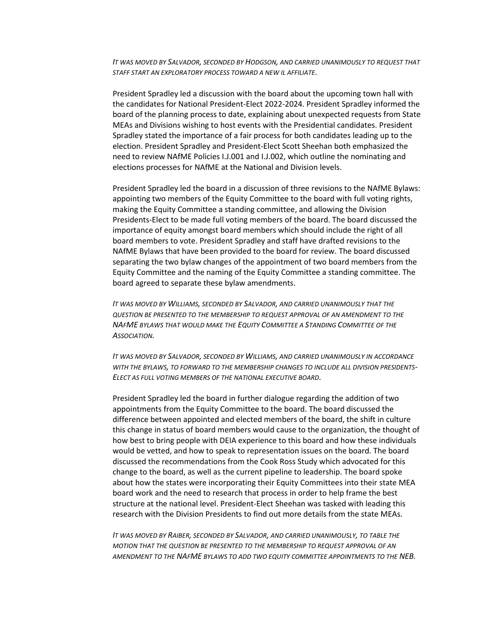*IT WAS MOVED BY SALVADOR, SECONDED BY HODGSON, AND CARRIED UNANIMOUSLY TO REQUEST THAT STAFF START AN EXPLORATORY PROCESS TOWARD A NEW IL AFFILIATE.*

President Spradley led a discussion with the board about the upcoming town hall with the candidates for National President-Elect 2022-2024. President Spradley informed the board of the planning process to date, explaining about unexpected requests from State MEAs and Divisions wishing to host events with the Presidential candidates. President Spradley stated the importance of a fair process for both candidates leading up to the election. President Spradley and President-Elect Scott Sheehan both emphasized the need to review NAfME Policies I.J.001 and I.J.002, which outline the nominating and elections processes for NAfME at the National and Division levels.

President Spradley led the board in a discussion of three revisions to the NAfME Bylaws: appointing two members of the Equity Committee to the board with full voting rights, making the Equity Committee a standing committee, and allowing the Division Presidents-Elect to be made full voting members of the board. The board discussed the importance of equity amongst board members which should include the right of all board members to vote. President Spradley and staff have drafted revisions to the NAfME Bylaws that have been provided to the board for review. The board discussed separating the two bylaw changes of the appointment of two board members from the Equity Committee and the naming of the Equity Committee a standing committee. The board agreed to separate these bylaw amendments.

*IT WAS MOVED BY WILLIAMS, SECONDED BY SALVADOR, AND CARRIED UNANIMOUSLY THAT THE QUESTION BE PRESENTED TO THE MEMBERSHIP TO REQUEST APPROVAL OF AN AMENDMENT TO THE NAFME BYLAWS THAT WOULD MAKE THE EQUITY COMMITTEE A STANDING COMMITTEE OF THE ASSOCIATION.*

*IT WAS MOVED BY SALVADOR, SECONDED BY WILLIAMS, AND CARRIED UNANIMOUSLY IN ACCORDANCE WITH THE BYLAWS, TO FORWARD TO THE MEMBERSHIP CHANGES TO INCLUDE ALL DIVISION PRESIDENTS-ELECT AS FULL VOTING MEMBERS OF THE NATIONAL EXECUTIVE BOARD.*

President Spradley led the board in further dialogue regarding the addition of two appointments from the Equity Committee to the board. The board discussed the difference between appointed and elected members of the board, the shift in culture this change in status of board members would cause to the organization, the thought of how best to bring people with DEIA experience to this board and how these individuals would be vetted, and how to speak to representation issues on the board. The board discussed the recommendations from the Cook Ross Study which advocated for this change to the board, as well as the current pipeline to leadership. The board spoke about how the states were incorporating their Equity Committees into their state MEA board work and the need to research that process in order to help frame the best structure at the national level. President-Elect Sheehan was tasked with leading this research with the Division Presidents to find out more details from the state MEAs.

*IT WAS MOVED BY RAIBER, SECONDED BY SALVADOR, AND CARRIED UNANIMOUSLY, TO TABLE THE MOTION THAT THE QUESTION BE PRESENTED TO THE MEMBERSHIP TO REQUEST APPROVAL OF AN AMENDMENT TO THE NAFME BYLAWS TO ADD TWO EQUITY COMMITTEE APPOINTMENTS TO THE NEB.*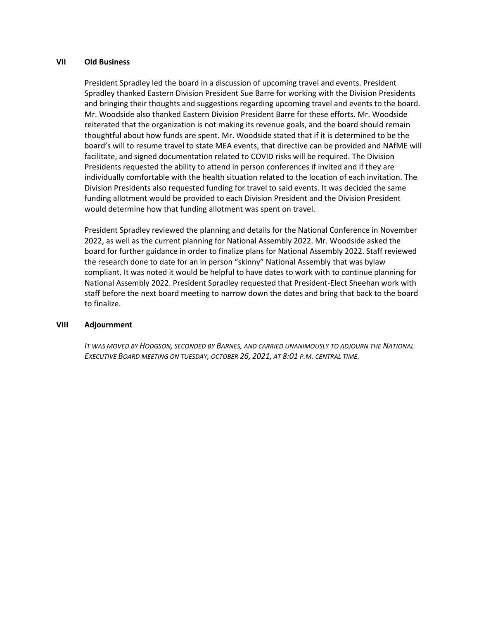## **VII Old Business**

President Spradley led the board in a discussion of upcoming travel and events. President Spradley thanked Eastern Division President Sue Barre for working with the Division Presidents and bringing their thoughts and suggestions regarding upcoming travel and events to the board. Mr. Woodside also thanked Eastern Division President Barre for these efforts. Mr. Woodside reiterated that the organization is not making its revenue goals, and the board should remain thoughtful about how funds are spent. Mr. Woodside stated that if it is determined to be the board's will to resume travel to state MEA events, that directive can be provided and NAfME will facilitate, and signed documentation related to COVID risks will be required. The Division Presidents requested the ability to attend in person conferences if invited and if they are individually comfortable with the health situation related to the location of each invitation. The Division Presidents also requested funding for travel to said events. It was decided the same funding allotment would be provided to each Division President and the Division President would determine how that funding allotment was spent on travel.

President Spradley reviewed the planning and details for the National Conference in November 2022, as well as the current planning for National Assembly 2022. Mr. Woodside asked the board for further guidance in order to finalize plans for National Assembly 2022. Staff reviewed the research done to date for an in person "skinny" National Assembly that was bylaw compliant. It was noted it would be helpful to have dates to work with to continue planning for National Assembly 2022. President Spradley requested that President-Elect Sheehan work with staff before the next board meeting to narrow down the dates and bring that back to the board to finalize.

#### **VIII Adjournment**

*IT WAS MOVED BY HODGSON, SECONDED BY BARNES, AND CARRIED UNANIMOUSLY TO ADJOURN THE NATIONAL EXECUTIVE BOARD MEETING ON TUESDAY, OCTOBER 26, 2021, AT 8:01 P.M. CENTRAL TIME.*